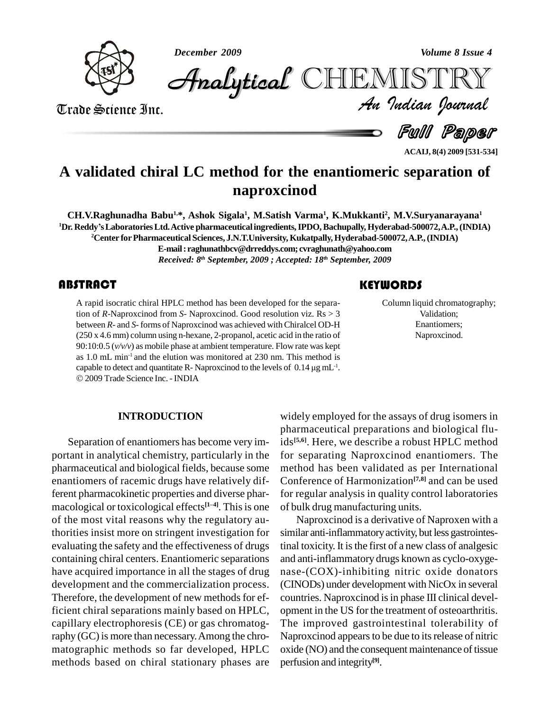*December 2009 Volume 8 Issue 4*



*Volume 8 Issue 4*<br>IISTRY<br>Indian Iournal CHEMISTRY

Trade Science Inc. Trade Science Inc.

Full Paper

**ACAIJ, 8(4) 2009 [531-534]**

# **A validated chiral LC method for the enantiomeric separation of naproxcinod**

**CH.V.Raghunadha Babu 1,\*, Ashok Sigala 1 , M.Satish Varma 1 , K.Mukkanti<sup>2</sup> , M.V.Suryanarayana 1 <sup>1</sup>Dr. ReddyísLaboratoriesLtd.Active pharmaceuticalingredients,IPDO,Bachupally, Hyderabad-500072,A.P.,(INDIA) <sup>2</sup>Center forPharmaceutical Sciences, J.N.T.University, Kukatpally,Hyderabad-500072,A.P.,(INDIA) E-mail: [raghunathbcv@drreddys.com;](mailto:raghunathbcv@drreddys.com;) [cvraghunath@yahoo.com](mailto:cvraghunath@yahoo.com)**

*Received: 8 th September, 2009 ; Accepted: 18 th September, 2009*

## **ABSTRACT**

A rapid isocratic chiral  $A$  tion of  $R$ -Naproxcinod fibetween  $R$ - and  $S$ - forms of A rapid isocratic chiral HPLC method has been developed for the separation of *R*-Naproxcinod from *S*- Naproxcinod. Good resolution viz. Rs > 3 between  $R$ - and  $S$ - forms of Naproxcinod was achieved with Chiralcel OD-H (250 x 4.6 mm) column using n-hexane, 2-propanol, acetic acid in the ratio of 90:10:0.5 ( $v/v/v$ ) as mobile phase at ambient temperature. Flow rate was kept as 1.0 mL min<sup>-1</sup> and the elution was monitored at 230 nm. This method is capable to detect and quantitate R- Naproxcinod to the levels of 0.14 as 1.0 mL min<sup>-1</sup> and the elution was monitored at 230 nm. This method is capable to detect and quantitate R- Naproxcinod to the levels of  $0.14 \,\mu g \,\text{mL}^{-1}$ . capable to detect and quantitate R- Naproxcinod to the levels of  $0.14 \mu g \text{ mL}^{-1}$ . 2009 Trade Science Inc. -INDIA

## **KEYWORDS**

Column liquid chroma<br>Validation;<br>Enantiomers Column liquid chromatography; Validation; Enantiomers; Naproxcinod.

#### **INTRODUCTION**

Separation of enantiomers has become very im portant in analytical chemistry, particularly in the pharmaceutical and biological fields, because some enantiomers of racemic drugs have relatively different pharmacokinetic properties and diverse phar ferent pharmacokinetic properties and diverse phar-<br>macological or toxicological effects<sup>[1-4]</sup>. This is one of bul of the most vital reasons why the regulatory authorities insist more on stringent investigation for evaluating the safety and the effectiveness of drugs containing chiral centers. Enantiomeric separations have acquired importance in all the stages of drug development and the commercialization process. Therefore, the development of new methods for efficient chiral separations mainly based on HPLC, capillary electrophoresis (CE) or gas chromatography (GC) is more than necessary.Among the chro matographic methods so far developed, HPLC methods based on chiral stationary phases are

widely employed for the assays of drug isomers in pharmaceutical preparations and biological fluids **[5,6]**. Here, we describe a robust HPLC method for separating Naproxcinod enantiomers. The method has been validated as per International Conference of Harmonization **[7,8]** and can be used for regular analysis in quality control laboratories of bulk drug manufacturing units.

Naproxcinod is a derivative of Naproxen with a similar anti-inflammatory activity, but less gastrointestinal toxicity. It is the first of a new class of analgesic and anti-inflammatory drugs known as cyclo-oxyge nase-(COX)-inhibiting nitric oxide donators (CINODs) under development with NicOx in several countries. Naproxcinod is in phase III clinical development in the US for the treatment of osteoarthritis. The improved gastrointestinal tolerability of Naproxcinod appears to be due to its release of nitric oxide (NO) and the consequent maintenance of tissue perfusion and integrity **[9]**.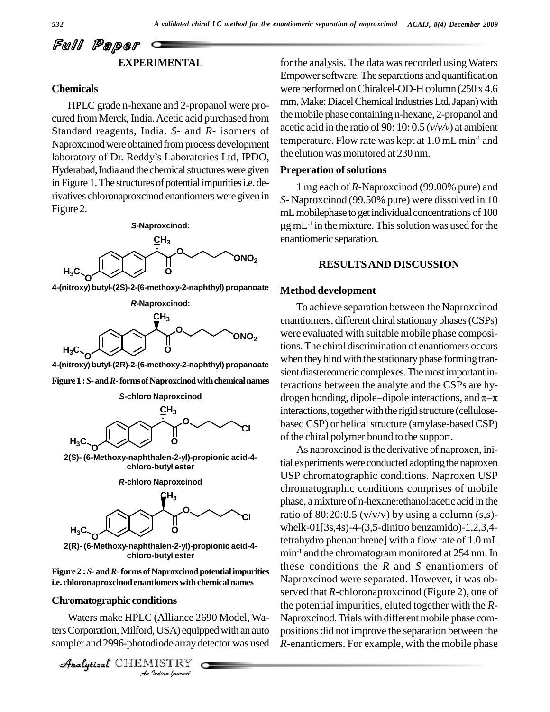# Full Paper **EXPERIMENTAL**

## **Chemicals**

HPLC grade n-hexane and 2-propanol were pro cured from Merck, India.Acetic acid purchased from Standard reagents, India. *S*- and *R*- isomers of aced<br>Naproxcinod were obtained from process development tem<br>laboratory of Dr. Reddy's Laboratories Ltd, IPDO, the Naproxcinod were obtained from process development Hyderabad, India and the chemical structures were given in Figure 1. The structures of potential impurities i.e. derivatives chloronaproxcinod enantiomers were given in Figure 2.



**4-(nitroxy) butyl-(2S)-2-(6-methoxy-2-naphthyl) propanoate**



**4-(nitroxy) butyl-(2R)-2-(6-methoxy-2-naphthyl) propanoate**

**Figure 1 :**  $S$ **-** and  $R$ **-** forms of Naproxcinod with chemical names



**2(S)- (6-Methoxy-naphthalen-2-yl)-propionic acid-4 chloro-butyl ester**

**R-chloro Naproxcinod**



**2(R)- (6-Methoxy-naphthalen-2-yl)-propionic acid-4 chloro-butyl ester**

#### **Figure 2 :***S***-and***R***-forms ofNaproxcinodpotentialimpurities** i.e. chloronaproxcinod enantiomers with chemical names

# $$

**Issued & Alliance 26<br>***I*, USA) equip<br>diode array de<br>*I*ISTRY Waters make HPLC (Alliance 2690 Model, Waters Corporation, Milford, USA) equipped with an auto sampler and 2996-photodiode array detector was used

```
CHEMISTRY
```
for the analysis. The data was recorded using Waters Empower software. The separations and quantification were performed on Chiralcel-OD-H column (250 x 4.6) mm, Make: Diacel Chemical Industries Ltd. Japan) with themobile phase containing n-hexane, 2-propanol and acetic acid in the ratio of 90: 10: 0.5 (*v*/*v/v*) at ambient temperature. Flow rate was kept at 1.0 mL min -1 and the elution was monitored at 230 nm.

#### **Preperation of solutions**

1 mg each of *R*-Naproxcinod (99.00% pure) and S- Naproxcinod (99.50% pure) were dissolved in 10 mL mobilephase to get individual concentrations of 100  $g$  mL<sup>-1</sup> in the mixture. This solution was used for the enantiomeric separation.

## **RESULTSAND DISCUSSION**

## **Method development**

To achieve separation between the Naproxcinod enantiomers, different chiral stationary phases (CSPs) were evaluated with suitable mobile phase compositions.The chiral discrimination of enantiomers occurs when they bind with the stationary phase forming transient diastereomeric complexes. The most important in-<br>teractions between the analyte and the CSPs are hy-<br>drogen bonding, dipole–dipole interactions, and  $\pi$ – $\pi$ teractions between the analyte and the CSPs are hy interactions, together with the rigid structure (cellulosebased CSP) or helical structure (amylase-based CSP) of the chiral polymer bound to the support.

As naproxcinod is the derivative of naproxen, initial experiments were conducted adopting the naproxen USP chromatographic conditions. Naproxen USP chromatographic conditions comprises of mobile phase, amixture of n-hexane:ethanol:acetic acid in the ratio of 80:20:0.5 ( $v/v/v$ ) by using a column (s,s)whelk-01[3s,4s)-4-(3,5-dinitro benzamido)-1,2,3,4 tetrahydro phenanthrene] with a flow rate of 1.0 mL min -1 and the chromatogram monitored at 254 nm. In these conditions the *R* and *S* enantiomers of Naproxcinod were separated. However, it was ob served that *R*-chloronaproxcinod (Figure 2), one of the potential impurities, eluted together with the *R*- Naproxcinod. Trials with different mobile phase compositions did not improve the separation between the *R*-enantiomers. For example, with the mobile phase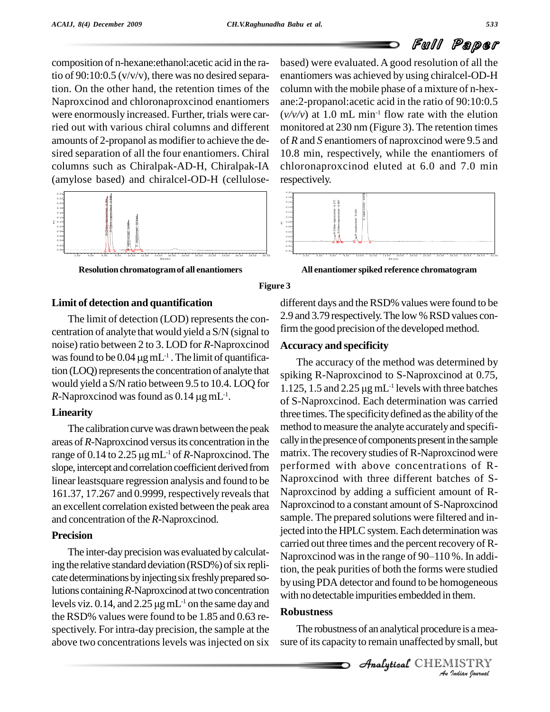composition of n-hexane:ethanol:acetic acid in the ratio of 90:10:0.5 ( $v/v/v$ ), there was no desired separation. On the other hand, the retention times of the Naproxcinod and chloronaproxcinod enantiomers were enormously increased. Further, trials were carried out with various chiral columns and different amounts of 2-propanol as modifier to achieve the de sired separation of all the four enantiomers. Chiral columns such as Chiralpak-AD-H, Chiralpak-IA (amylose based) and chiralcel-OD-H (cellulose-



based) were evaluated. Agood resolution of all the enantiomers was achieved by using chiralcel-OD-H column with the mobile phase of a mixture of n-hex ane:2-propanol:acetic acid in the ratio of 90:10:0.5  $(v/v/v)$  at 1.0 mL min<sup>-1</sup> flow rate with the elution monitored at 230 nm (Figure 3). The retention times of *R* and *S* enantiomers of naproxcinod were 9.5 and 10.8 min, respectively, while the enantiomers of chloronaproxcinod eluted at 6.0 and 7.0 min respectively.



**Resolution chromatogramof all enantiomers All enantiomer spiked reference chromatogram**

#### **Figure 3**

## **Limit of detection and quantification**

The limit of detection (LOD) represents the concentration of analyte that would yield a S/N (signal to firm the noise) ratio between 2 to 3. LOD for *R*-Naproxcinod **Accura** was found to be  $0.04 \,\mathrm{\upmu g\,mL^{-1}}$ . The limit of quantificanoise) ratio between 2 to 3. LOD for *R*-Naproxcinod -1 .The limit of quantification (LOQ) represents the concentration of analyte that would yield a S/N ratio between 9.5 to 10.4. LOQ for  $\frac{1}{1}$  125 tion (LOQ) represents the concentration of analyte that<br>would yield a S/N ratio between 9.5 to 10.4. LOQ for<br>*R*-Naproxcinod was found as 0.14 µg mL<sup>-1</sup>. -1 .

## **Linearity**

The calibration curve was drawn between the peak areas of*R*-Naproxcinod versusits concentration in the The calibration curve was drawn between the peak method<br>areas of *R*-Naproxcinod versus its concentration in the cally in<br>range of 0.14 to 2.25  $\mu$ g mL<sup>-1</sup> of *R*-Naproxcinod. The matrix slope, intercept and correlation coefficient derived from linear leastsquare regression analysis and found to be 161.37, 17.267 and 0.9999, respectively reveals that an excellent correlation existed between the peak area and concentration of the *R*-Naproxcinod.

# **Precision**

The inter-day precision was evaluated by calculat-Ine inter-day precision was evaluated by calculat-<br>ing the relative standard deviation (RSD%) of six repli-<br>tion the peak purities of both the forms were studied cate determinations by injecting six freshly prepared so-<br>lutions containing R-Naproxcinod at two concentration with<br>levels viz. 0.14, and 2.25  $\mu$ g mL<sup>-1</sup> on the same day and lutions containing R-Naproxcinod at two concentration levels viz. 0.14, and 2.25  $\mu$ g mL<sup>-1</sup> on the same day and the RSD% values were found to be 1.85 and 0.63 re-spectively. For intra-day precision, the sample at the above two concentrations levels was injected on six

different days and theRSD% values were found to be 2.9 and 3.79 respectively.The low %RSD values confirm the good precision of the developed method.

# **Accuracy and specificity**

*An*Analyticalwith no detectable impurities embedded in them. The accuracy of the method was determined by spiking R-Naproxcinod to S-Naproxcinod at 0.75, The accuracy of the method was determined by<br>spiking R-Naproxcinod to S-Naproxcinod at 0.75,<br>1.125, 1.5 and 2.25  $\mu$ g mL<sup>-1</sup> levels with three batches of S-Naproxcinod. Each determination was carried three times. The specificity defined as the ability of the method to measure the analyte accurately and specifically in the presence of components present in the sample matrix. The recovery studies of R-Naproxcinod were performed with above concentrations of R- Naproxcinod with three different batches of S- Naproxcinod by adding a sufficient amount of R- Naproxcinod to a constant amount of S-Naproxcinod sample. The prepared solutions were filtered and injected into the HPLC system. Each determination was carried out three times and the percent recovery of Rjected into the HPLC system. Each determination was<br>carried out three times and the percent recovery of R-<br>Naproxcinod was in the range of 90–110 %. In addition, the peak purities of both the forms were studied by using PDA detector and found to be homogeneous

# **Robustness**

*Indian*<br>*Indian Indian*<br>*IISTRY*<br>*Indian Iournal* The robustness of an analytical procedure is amea sure of its capacity to remain unaffected by small, but

CHEMISTRY